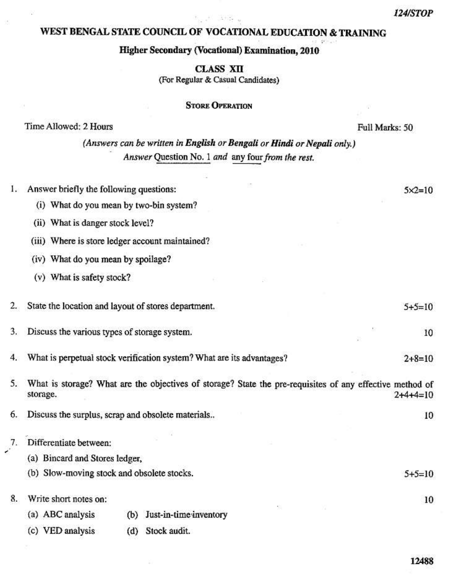## 여, 그리 그림부터 WEST BENGAL STATE COUNCIL OF VOCATIONAL EDUCATION & TRAINING

#### Higher Secondary (Vocational) Examination, 2010

CLASS XII (For Regular & Casual Candidates)

## **STORE OPERATION**

#### Time Allowed: 2 Hours

Full Marks: 50

(Answers can be written in English or Bengali or Hindi or Nepali only.) Answer Question No. 1 and any four from the rest.

| I. | Answer briefly the following questions:                                                                              | $5 \times 2 = 10$ |
|----|----------------------------------------------------------------------------------------------------------------------|-------------------|
|    | (i) What do you mean by two-bin system?                                                                              |                   |
|    | (ii) What is danger stock level?                                                                                     |                   |
|    | (iii) Where is store ledger account maintained?                                                                      |                   |
|    | (iv) What do you mean by spoilage?                                                                                   |                   |
|    | (v) What is safety stock?                                                                                            |                   |
| 2. | State the location and layout of stores department.                                                                  | $5+5=10$          |
| 3. | Discuss the various types of storage system.                                                                         | 10                |
| 4. | What is perpetual stock verification system? What are its advantages?                                                | $2 + 8 = 10$      |
| 5. | What is storage? What are the objectives of storage? State the pre-requisites of any effective method of<br>storage. | $2+4+4=10$        |
| 6. | Discuss the surplus, scrap and obsolete materials                                                                    | 10                |
| 7. | Differentiate between:                                                                                               |                   |
|    | (a) Bincard and Stores ledger,                                                                                       |                   |
|    | (b) Slow-moving stock and obsolete stocks.                                                                           | $5+5=10$          |
| 8. | Write short notes on:                                                                                                | 10                |
|    | Just-in-time inventory<br>(a) ABC analysis<br>(b)                                                                    |                   |
|    | (c) VED analysis<br>Stock audit.<br>(d)                                                                              |                   |

12488